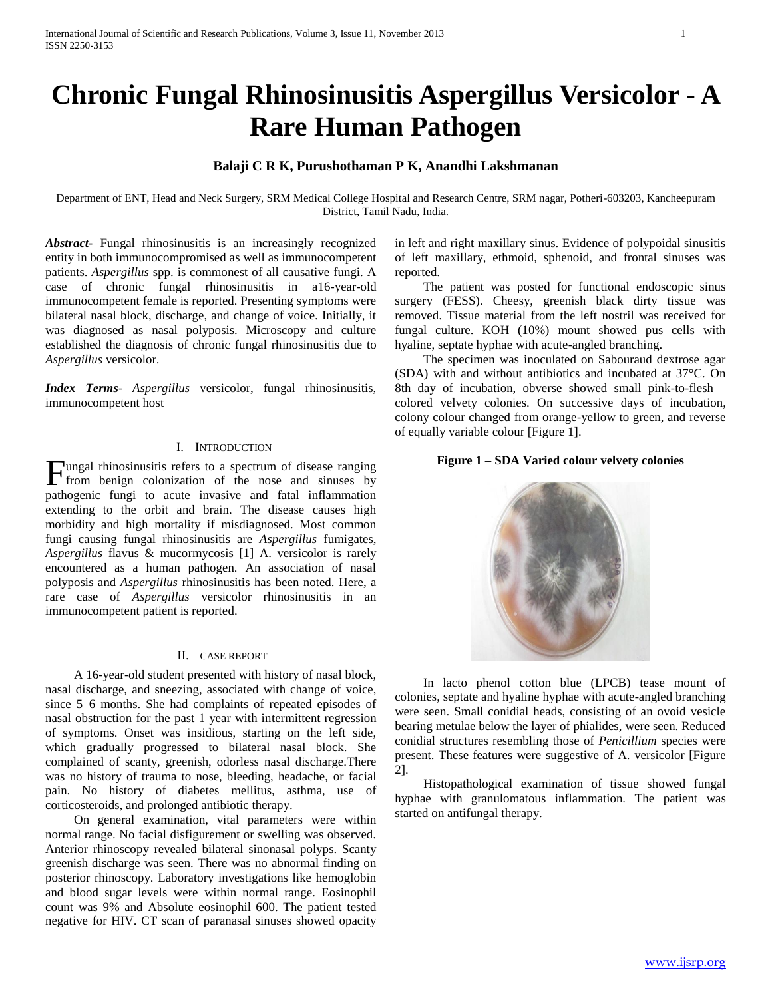# **Chronic Fungal Rhinosinusitis Aspergillus Versicolor - A Rare Human Pathogen**

## **Balaji C R K, Purushothaman P K, Anandhi Lakshmanan**

Department of ENT, Head and Neck Surgery, SRM Medical College Hospital and Research Centre, SRM nagar, Potheri-603203, Kancheepuram District, Tamil Nadu, India.

*Abstract***-** Fungal rhinosinusitis is an increasingly recognized entity in both immunocompromised as well as immunocompetent patients. *Aspergillus* spp. is commonest of all causative fungi. A case of chronic fungal rhinosinusitis in a16-year-old immunocompetent female is reported. Presenting symptoms were bilateral nasal block, discharge, and change of voice. Initially, it was diagnosed as nasal polyposis. Microscopy and culture established the diagnosis of chronic fungal rhinosinusitis due to *Aspergillus* versicolor.

*Index Terms*- *Aspergillus* versicolor, fungal rhinosinusitis, immunocompetent host

#### I. INTRODUCTION

Tungal rhinosinusitis refers to a spectrum of disease ranging Fungal rhinosinusitis refers to a spectrum of disease ranging<br>from benign colonization of the nose and sinuses by pathogenic fungi to acute invasive and fatal inflammation extending to the orbit and brain. The disease causes high morbidity and high mortality if misdiagnosed. Most common fungi causing fungal rhinosinusitis are *Aspergillus* fumigates, *Aspergillus* flavus & mucormycosis [1] A. versicolor is rarely encountered as a human pathogen. An association of nasal polyposis and *Aspergillus* rhinosinusitis has been noted. Here, a rare case of *Aspergillus* versicolor rhinosinusitis in an immunocompetent patient is reported.

## II. CASE REPORT

 A 16-year-old student presented with history of nasal block, nasal discharge, and sneezing, associated with change of voice, since 5–6 months. She had complaints of repeated episodes of nasal obstruction for the past 1 year with intermittent regression of symptoms. Onset was insidious, starting on the left side, which gradually progressed to bilateral nasal block. She complained of scanty, greenish, odorless nasal discharge.There was no history of trauma to nose, bleeding, headache, or facial pain. No history of diabetes mellitus, asthma, use of corticosteroids, and prolonged antibiotic therapy.

 On general examination, vital parameters were within normal range. No facial disfigurement or swelling was observed. Anterior rhinoscopy revealed bilateral sinonasal polyps. Scanty greenish discharge was seen. There was no abnormal finding on posterior rhinoscopy. Laboratory investigations like hemoglobin and blood sugar levels were within normal range. Eosinophil count was 9% and Absolute eosinophil 600. The patient tested negative for HIV. CT scan of paranasal sinuses showed opacity

in left and right maxillary sinus. Evidence of polypoidal sinusitis of left maxillary, ethmoid, sphenoid, and frontal sinuses was reported.

 The patient was posted for functional endoscopic sinus surgery (FESS). Cheesy, greenish black dirty tissue was removed. Tissue material from the left nostril was received for fungal culture. KOH (10%) mount showed pus cells with hyaline, septate hyphae with acute-angled branching.

 The specimen was inoculated on Sabouraud dextrose agar (SDA) with and without antibiotics and incubated at 37°C. On 8th day of incubation, obverse showed small pink-to-flesh colored velvety colonies. On successive days of incubation, colony colour changed from orange-yellow to green, and reverse of equally variable colour [Figure 1].

### **Figure 1 – SDA Varied colour velvety colonies**



 In lacto phenol cotton blue (LPCB) tease mount of colonies, septate and hyaline hyphae with acute-angled branching were seen. Small conidial heads, consisting of an ovoid vesicle bearing metulae below the layer of phialides, were seen. Reduced conidial structures resembling those of *Penicillium* species were present. These features were suggestive of A. versicolor [Figure 2].

 Histopathological examination of tissue showed fungal hyphae with granulomatous inflammation. The patient was started on antifungal therapy.